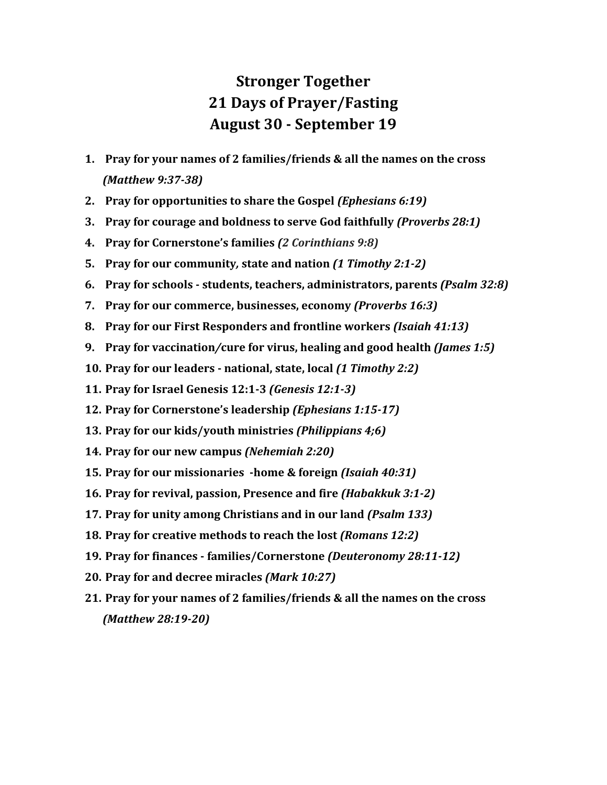## **Stronger Together 21 Days of Prayer/Fasting August 30 - September 19**

- **1. Pray for your names of 2 families/friends & all the names on the cross** *(Matthew 9:37-38)*
- **2. Pray for opportunities to share the Gospel** *(Ephesians 6:19)*
- **3. Pray for courage and boldness to serve God faithfully** *(Proverbs 28:1)*
- **4. Pray for Cornerstone's families** *(2 Corinthians 9:8)*
- **5. Pray for our community***,* **state and nation** *(1 Timothy 2:1-2)*
- **6. Pray for schools - students, teachers, administrators, parents** *(Psalm 32:8)*
- **7. Pray for our commerce, businesses, economy** *(Proverbs 16:3)*
- **8. Pray for our First Responders and frontline workers** *(Isaiah 41:13)*
- **9. Pray for vaccination***/***cure for virus, healing and good health** *(James 1:5)*
- **10. Pray for our leaders - national, state, local** *(1 Timothy 2:2)*
- **11. Pray for Israel Genesis 12:1-3** *(Genesis 12:1-3)*
- **12. Pray for Cornerstone's leadership** *(Ephesians 1:15-17)*
- **13. Pray for our kids/youth ministries** *(Philippians 4;6)*
- **14. Pray for our new campus** *(Nehemiah 2:20)*
- **15. Pray for our missionaries -home & foreign** *(Isaiah 40:31)*
- **16. Pray for revival, passion, Presence and fire** *(Habakkuk 3:1-2)*
- **17. Pray for unity among Christians and in our land** *(Psalm 133)*
- **18. Pray for creative methods to reach the lost** *(Romans 12:2)*
- **19. Pray for finances - families/Cornerstone** *(Deuteronomy 28:11-12)*
- **20. Pray for and decree miracles** *(Mark 10:27)*
- **21. Pray for your names of 2 families/friends & all the names on the cross** *(Matthew 28:19-20)*